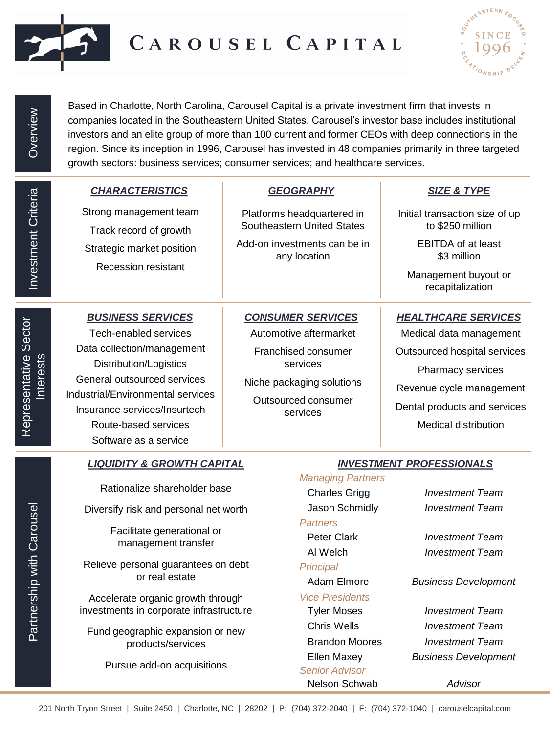

## CAROUSEL CAPITAL



Based in Charlotte, North Carolina, Carousel Capital is a private investment firm that invests in companies located in the Southeastern United States. Carousel's investor base includes institutional investors and an elite group of more than 100 current and former CEOs with deep connections in the region. Since its inception in 1996, Carousel has invested in 48 companies primarily in three targeted growth sectors: business services; consumer services; and healthcare services.

| Investment Criteria                         | <b>CHARACTERISTICS</b><br>Strong management team                                                                                                                                                                                                                      |                                                                                                                 | <b>GEOGRAPHY</b>                                                                                                                                      |                                                                                                                                                                                                       |  |  |
|---------------------------------------------|-----------------------------------------------------------------------------------------------------------------------------------------------------------------------------------------------------------------------------------------------------------------------|-----------------------------------------------------------------------------------------------------------------|-------------------------------------------------------------------------------------------------------------------------------------------------------|-------------------------------------------------------------------------------------------------------------------------------------------------------------------------------------------------------|--|--|
|                                             |                                                                                                                                                                                                                                                                       |                                                                                                                 |                                                                                                                                                       | <b>SIZE &amp; TYPE</b>                                                                                                                                                                                |  |  |
|                                             | Track record of growth                                                                                                                                                                                                                                                | Platforms headquartered in<br><b>Southeastern United States</b><br>Add-on investments can be in<br>any location |                                                                                                                                                       | Initial transaction size of up<br>to \$250 million                                                                                                                                                    |  |  |
|                                             | Strategic market position                                                                                                                                                                                                                                             |                                                                                                                 |                                                                                                                                                       | <b>EBITDA of at least</b><br>\$3 million                                                                                                                                                              |  |  |
|                                             | <b>Recession resistant</b>                                                                                                                                                                                                                                            |                                                                                                                 |                                                                                                                                                       | Management buyout or<br>recapitalization                                                                                                                                                              |  |  |
| )<br>S<br><b>Interests</b><br>$\frac{5}{2}$ | <b>BUSINESS SERVICES</b><br>Tech-enabled services<br>Data collection/management<br><b>Distribution/Logistics</b><br>General outsourced services<br>Industrial/Environmental services<br>Insurance services/Insurtech<br>Route-based services<br>Software as a service |                                                                                                                 | <b>CONSUMER SERVICES</b><br>Automotive aftermarket<br>Franchised consumer<br>services<br>Niche packaging solutions<br>Outsourced consumer<br>services | <b>HEALTHCARE SERVICES</b><br>Medical data management<br>Outsourced hospital services<br>Pharmacy services<br>Revenue cycle management<br>Dental products and services<br><b>Medical distribution</b> |  |  |
|                                             | <b>LIQUIDITY &amp; GROWTH CAPITAL</b>                                                                                                                                                                                                                                 |                                                                                                                 | <b>INVESTMENT PROFESSIONALS</b>                                                                                                                       |                                                                                                                                                                                                       |  |  |
| Partnership with Carousel                   | Rationalize shareholder base<br>Diversify risk and personal net worth<br>Facilitate generational or<br>management transfer<br>Relieve personal guarantees on debt<br>or real estate<br>Accelerate organic growth through                                              |                                                                                                                 | <b>Managing Partners</b><br><b>Charles Grigg</b><br>Jason Schmidly<br><b>Partners</b><br>Peter Clark                                                  | <b>Investment Team</b><br><b>Investment Team</b><br><b>Investment Team</b><br><b>Investment Team</b>                                                                                                  |  |  |
|                                             |                                                                                                                                                                                                                                                                       |                                                                                                                 | Al Welch<br>Principal<br>Adam Elmore<br><b>Vice Presidents</b>                                                                                        | <b>Business Development</b>                                                                                                                                                                           |  |  |
|                                             | investments in corporate infrastructure                                                                                                                                                                                                                               |                                                                                                                 | <b>Tyler Moses</b>                                                                                                                                    | <b>Investment Team</b>                                                                                                                                                                                |  |  |
|                                             | Fund geographic expansion or new<br>products/services                                                                                                                                                                                                                 |                                                                                                                 | <b>Chris Wells</b><br><b>Brandon Moores</b>                                                                                                           | <b>Investment Team</b><br><b>Investment Team</b>                                                                                                                                                      |  |  |
|                                             | Pursue add-on acquisitions                                                                                                                                                                                                                                            |                                                                                                                 | <b>Ellen Maxey</b><br><b>Senior Advisor</b><br>Nelson Schwab                                                                                          | <b>Business Development</b><br>Advisor                                                                                                                                                                |  |  |

Representative Sector

## 201 North Tryon Street | Suite 2450 | Charlotte, NC | 28202 | P: (704) 372-2040 | F: (704) 372-1040 | carouselcapital.com